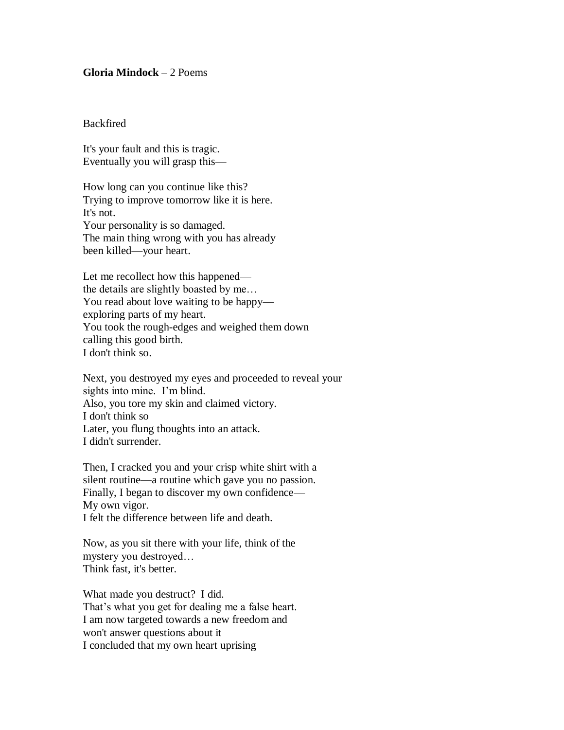## **Gloria Mindock** – 2 Poems

## **Backfired**

It's your fault and this is tragic. Eventually you will grasp this—

How long can you continue like this? Trying to improve tomorrow like it is here. It's not. Your personality is so damaged. The main thing wrong with you has already been killed—your heart.

Let me recollect how this happened the details are slightly boasted by me… You read about love waiting to be happy exploring parts of my heart. You took the rough-edges and weighed them down calling this good birth. I don't think so.

Next, you destroyed my eyes and proceeded to reveal your sights into mine. I'm blind. Also, you tore my skin and claimed victory. I don't think so Later, you flung thoughts into an attack. I didn't surrender.

Then, I cracked you and your crisp white shirt with a silent routine—a routine which gave you no passion. Finally, I began to discover my own confidence— My own vigor. I felt the difference between life and death.

Now, as you sit there with your life, think of the mystery you destroyed… Think fast, it's better.

What made you destruct? I did. That's what you get for dealing me a false heart. I am now targeted towards a new freedom and won't answer questions about it I concluded that my own heart uprising